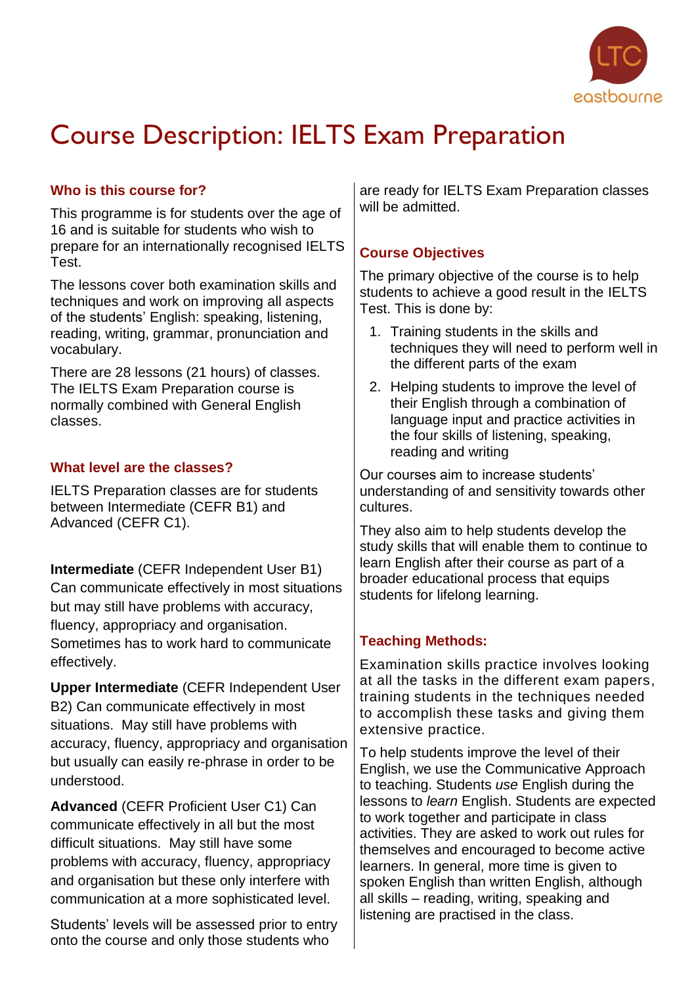

# Course Description: IELTS Exam Preparation

## **Who is this course for?**

This programme is for students over the age of 16 and is suitable for students who wish to prepare for an internationally recognised IELTS Test.

The lessons cover both examination skills and techniques and work on improving all aspects of the students' English: speaking, listening, reading, writing, grammar, pronunciation and vocabulary.

There are 28 lessons (21 hours) of classes. The IELTS Exam Preparation course is normally combined with General English classes.

## **What level are the classes?**

IELTS Preparation classes are for students between Intermediate (CEFR B1) and Advanced (CEFR C1).

**Intermediate** (CEFR Independent User B1) Can communicate effectively in most situations but may still have problems with accuracy, fluency, appropriacy and organisation. Sometimes has to work hard to communicate effectively.

**Upper Intermediate** (CEFR Independent User B2) Can communicate effectively in most situations. May still have problems with accuracy, fluency, appropriacy and organisation but usually can easily re-phrase in order to be understood.

**Advanced** (CEFR Proficient User C1) Can communicate effectively in all but the most difficult situations. May still have some problems with accuracy, fluency, appropriacy and organisation but these only interfere with communication at a more sophisticated level.

Students' levels will be assessed prior to entry onto the course and only those students who

are ready for IELTS Exam Preparation classes will be admitted.

# **Course Objectives**

The primary objective of the course is to help students to achieve a good result in the IELTS Test. This is done by:

- 1. Training students in the skills and techniques they will need to perform well in the different parts of the exam
- 2. Helping students to improve the level of their English through a combination of language input and practice activities in the four skills of listening, speaking, reading and writing

Our courses aim to increase students' understanding of and sensitivity towards other cultures.

They also aim to help students develop the study skills that will enable them to continue to learn English after their course as part of a broader educational process that equips students for lifelong learning.

# **Teaching Methods:**

Examination skills practice involves looking at all the tasks in the different exam papers, training students in the techniques needed to accomplish these tasks and giving them extensive practice.

To help students improve the level of their English, we use the Communicative Approach to teaching. Students *use* English during the lessons to *learn* English. Students are expected to work together and participate in class activities. They are asked to work out rules for themselves and encouraged to become active learners. In general, more time is given to spoken English than written English, although all skills – reading, writing, speaking and listening are practised in the class.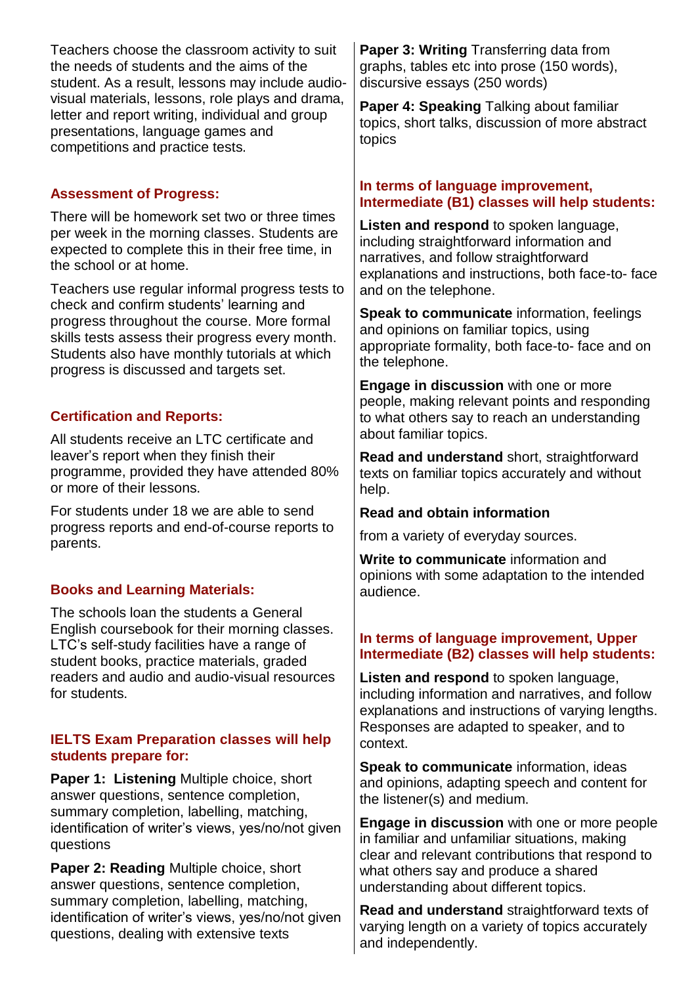Teachers choose the classroom activity to suit the needs of students and the aims of the student. As a result, lessons may include audiovisual materials, lessons, role plays and drama, letter and report writing, individual and group presentations, language games and competitions and practice tests.

## **Assessment of Progress:**

There will be homework set two or three times per week in the morning classes. Students are expected to complete this in their free time, in the school or at home.

Teachers use regular informal progress tests to check and confirm students' learning and progress throughout the course. More formal skills tests assess their progress every month. Students also have monthly tutorials at which progress is discussed and targets set.

# **Certification and Reports:**

All students receive an LTC certificate and leaver's report when they finish their programme, provided they have attended 80% or more of their lessons.

For students under 18 we are able to send progress reports and end-of-course reports to parents.

# **Books and Learning Materials:**

The schools loan the students a General English coursebook for their morning classes. LTC's self-study facilities have a range of student books, practice materials, graded readers and audio and audio-visual resources for students.

#### **IELTS Exam Preparation classes will help students prepare for:**

**Paper 1: Listening** Multiple choice, short answer questions, sentence completion, summary completion, labelling, matching, identification of writer's views, yes/no/not given questions

**Paper 2: Reading** Multiple choice, short answer questions, sentence completion, summary completion, labelling, matching, identification of writer's views, yes/no/not given questions, dealing with extensive texts

**Paper 3: Writing** Transferring data from graphs, tables etc into prose (150 words), discursive essays (250 words)

**Paper 4: Speaking** Talking about familiar topics, short talks, discussion of more abstract topics

#### **In terms of language improvement, Intermediate (B1) classes will help students:**

**Listen and respond** to spoken language, including straightforward information and narratives, and follow straightforward explanations and instructions, both face-to- face and on the telephone.

**Speak to communicate** information, feelings and opinions on familiar topics, using appropriate formality, both face-to- face and on the telephone.

**Engage in discussion** with one or more people, making relevant points and responding to what others say to reach an understanding about familiar topics.

**Read and understand** short, straightforward texts on familiar topics accurately and without help.

## **Read and obtain information**

from a variety of everyday sources.

**Write to communicate** information and opinions with some adaptation to the intended audience.

## **In terms of language improvement, Upper Intermediate (B2) classes will help students:**

**Listen and respond** to spoken language, including information and narratives, and follow explanations and instructions of varying lengths. Responses are adapted to speaker, and to context.

**Speak to communicate** information, ideas and opinions, adapting speech and content for the listener(s) and medium.

**Engage in discussion** with one or more people in familiar and unfamiliar situations, making clear and relevant contributions that respond to what others say and produce a shared understanding about different topics.

**Read and understand** straightforward texts of varying length on a variety of topics accurately and independently.